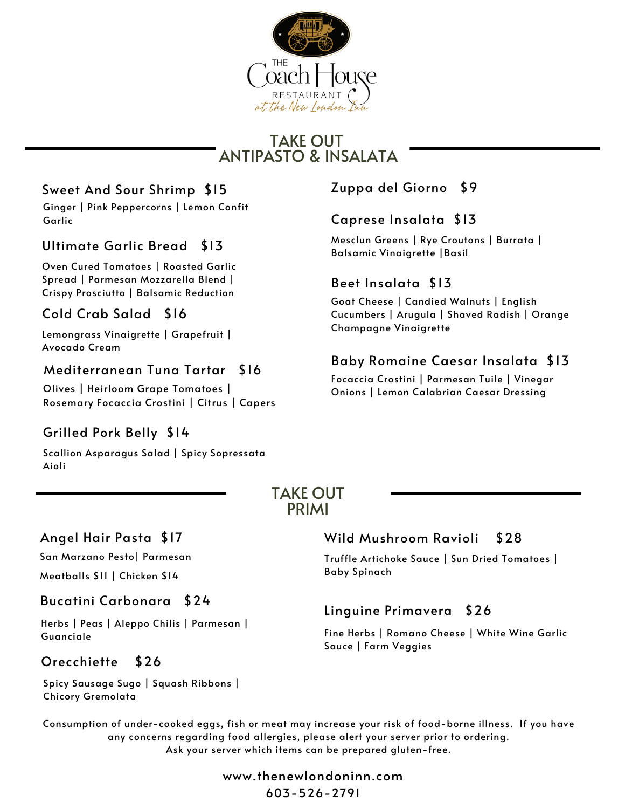

# TAKE OUT ANTIPASTO & INSALATA

# Sweet And Sour Shrimp \$15 Zuppa del Giorno \$9

Ginger | Pink Peppercorns | Lemon Confit Garlic

# Balsamic Vinaigrette |Basil Ultimate Garlic Bread \$13

Oven Cured Tomatoes | Roasted Garlic Spread | Parmesan Mozzarella Blend | Crispy Prosciutto | Balsamic Reduction

## Cold Crab Salad \$16

Lemongrass Vinaigrette | Grapefruit | Avocado Cream

#### Mediterranean Tuna Tartar \$16

Olives | Heirloom Grape Tomatoes | Rosemary Focaccia Crostini | Citrus | Capers

# Grilled Pork Belly \$14

Scallion Asparagus Salad | Spicy Sopressata Aioli

#### Caprese Insalata \$13

Mesclun Greens | Rye Croutons | Burrata |

### Beet Insalata \$13

Goat Cheese | Candied Walnuts | English Cucumbers | Arugula | Shaved Radish | Orange Champagne Vinaigrette

# Baby Romaine Caesar Insalata \$13

Focaccia Crostini | Parmesan Tuile | Vinegar Onions | Lemon Calabrian Caesar Dressing

#### TAKE OUT PRIMI

#### Angel Hair Pasta \$17

San Marzano Pesto| Parmesan

Meatballs \$11 | Chicken \$14

#### Bucatini Carbonara \$24

Herbs | Peas | Aleppo Chilis | Parmesan | Guanciale

#### Orecchiette \$26

Spicy Sausage Sugo | Squash Ribbons | Chicory Gremolata

#### Wild [Mushroom](https://www.google.com/search?sxsrf=AOaemvJkmOJ2m6L7d2nsL4kOEbk7XpjBig:1634136585715&q=Orecchiette&spell=1&sa=X&ved=2ahUKEwjOttKV0cfzAhXkRd8KHZNuA-IQBSgAegQIARAx) Ravioli \$28

Truffle Artichoke Sauce | Sun Dried Tomatoes | Baby Spinach

## Linguine Primavera \$26

Fine Herbs | Romano Cheese | White Wine Garlic Sauce | Farm Veggies

Consumption of under-cooked eggs, fish or meat may increase your risk of food-borne illness. If you have any concerns regarding food allergies, please alert your server prior to ordering. Ask your server which items can be prepared gluten-free.

> www.thenewlondoninn.com 603-526-2791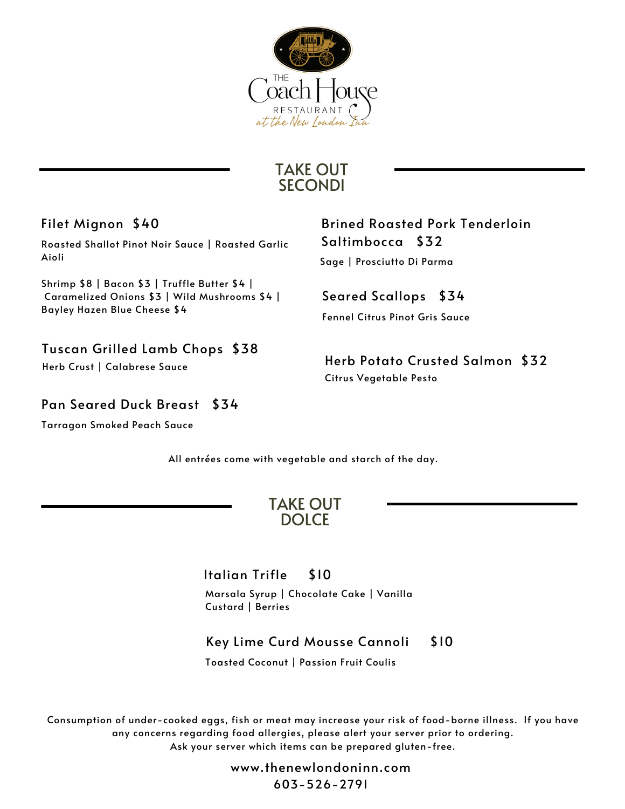

# TAKE OUT **SECONDI**

Filet Mignon \$40

Roasted Shallot Pinot Noir Sauce | Roasted Garlic Aioli

Shrimp \$8 | Bacon \$3 | Truffle Butter \$4 | Caramelized Onions \$3 | Wild Mushrooms \$4 | Bayley Hazen Blue Cheese \$4

Tuscan Grilled Lamb Chops \$38

Herb Crust | Calabrese Sauce

Pan Seared Duck Breast \$34

Tarragon Smoked Peach Sauce

Brined Roasted Pork Tenderloin Saltimbocca \$32

Sage | Prosciutto Di Parma

Seared Scallops \$34 Fennel Citrus Pinot Gris Sauce

Herb Potato Crusted Salmon \$32 Citrus Vegetable Pesto

All entrées come with vegetable and starch of the day.

TAKE OUT DOLCE

# Italian Trifle \$10

Marsala Syrup | Chocolate Cake | Vanilla Custard | Berries

# Key Lime Curd Mousse Cannoli \$10

Toasted Coconut | Passion Fruit Coulis

Consumption of under-cooked eggs, fish or meat may increase your risk of food-borne illness. If you have any concerns regarding food allergies, please alert your server prior to ordering. Ask your server which items can be prepared gluten-free.

> www.thenewlondoninn.com 603-526-2791